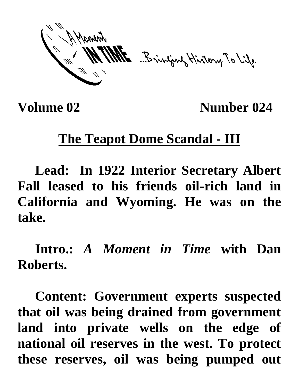ME Brinjang History To Life

**Volume 02** Number 024

## **The Teapot Dome Scandal - III**

**Lead: In 1922 Interior Secretary Albert Fall leased to his friends oil-rich land in California and Wyoming. He was on the take.**

**Intro.:** *A Moment in Time* **with Dan Roberts.**

**Content: Government experts suspected that oil was being drained from government land into private wells on the edge of national oil reserves in the west. To protect these reserves, oil was being pumped out**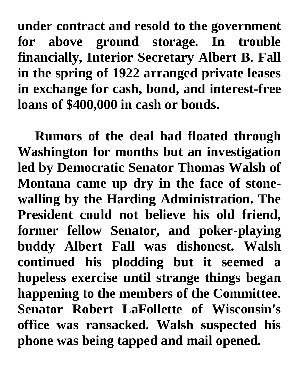**under contract and resold to the government for above ground storage. In trouble financially, Interior Secretary Albert B. Fall in the spring of 1922 arranged private leases in exchange for cash, bond, and interest-free loans of \$400,000 in cash or bonds.**

**Rumors of the deal had floated through Washington for months but an investigation led by Democratic Senator Thomas Walsh of Montana came up dry in the face of stonewalling by the Harding Administration. The President could not believe his old friend, former fellow Senator, and poker-playing buddy Albert Fall was dishonest. Walsh continued his plodding but it seemed a hopeless exercise until strange things began happening to the members of the Committee. Senator Robert LaFollette of Wisconsin's office was ransacked. Walsh suspected his phone was being tapped and mail opened.**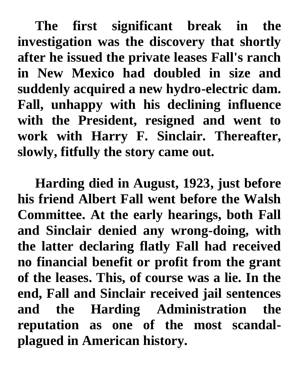**The first significant break in the investigation was the discovery that shortly after he issued the private leases Fall's ranch in New Mexico had doubled in size and suddenly acquired a new hydro-electric dam. Fall, unhappy with his declining influence with the President, resigned and went to work with Harry F. Sinclair. Thereafter, slowly, fitfully the story came out.**

**Harding died in August, 1923, just before his friend Albert Fall went before the Walsh Committee. At the early hearings, both Fall and Sinclair denied any wrong-doing, with the latter declaring flatly Fall had received no financial benefit or profit from the grant of the leases. This, of course was a lie. In the end, Fall and Sinclair received jail sentences and the Harding Administration the reputation as one of the most scandalplagued in American history.**